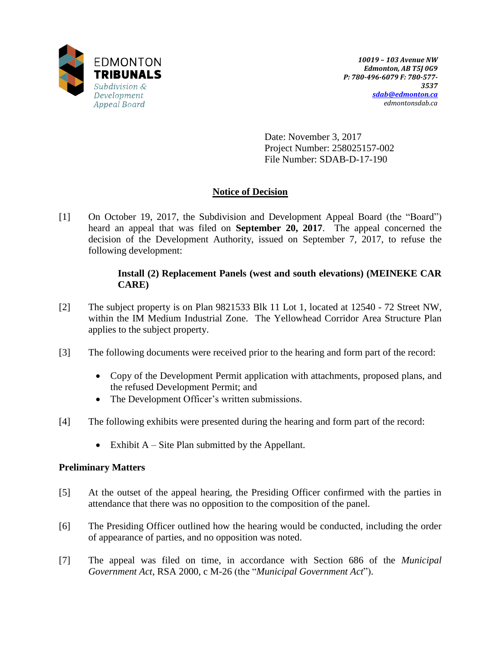

Date: November 3, 2017 Project Number: 258025157-002 File Number: SDAB-D-17-190

# **Notice of Decision**

[1] On October 19, 2017, the Subdivision and Development Appeal Board (the "Board") heard an appeal that was filed on **September 20, 2017**. The appeal concerned the decision of the Development Authority, issued on September 7, 2017, to refuse the following development:

## **Install (2) Replacement Panels (west and south elevations) (MEINEKE CAR CARE)**

- [2] The subject property is on Plan 9821533 Blk 11 Lot 1, located at 12540 72 Street NW, within the IM Medium Industrial Zone. The Yellowhead Corridor Area Structure Plan applies to the subject property.
- [3] The following documents were received prior to the hearing and form part of the record:
	- Copy of the Development Permit application with attachments, proposed plans, and the refused Development Permit; and
	- The Development Officer's written submissions.
- [4] The following exhibits were presented during the hearing and form part of the record:
	- $\bullet$  Exhibit A Site Plan submitted by the Appellant.

## **Preliminary Matters**

- [5] At the outset of the appeal hearing, the Presiding Officer confirmed with the parties in attendance that there was no opposition to the composition of the panel.
- [6] The Presiding Officer outlined how the hearing would be conducted, including the order of appearance of parties, and no opposition was noted.
- [7] The appeal was filed on time, in accordance with Section 686 of the *Municipal Government Act*, RSA 2000, c M-26 (the "*Municipal Government Act*").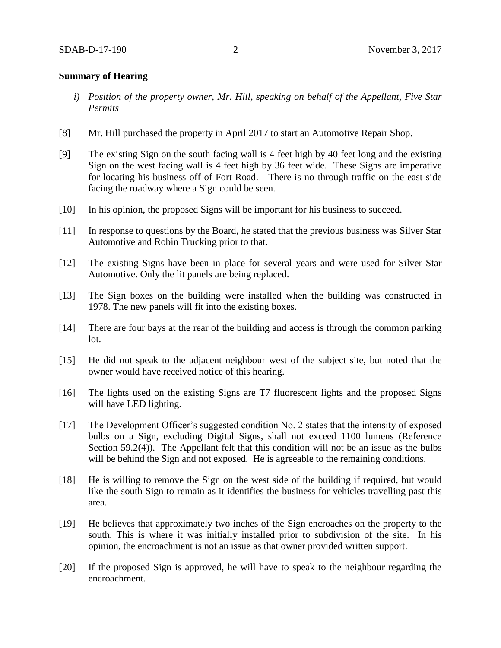### **Summary of Hearing**

- *i) Position of the property owner, Mr. Hill, speaking on behalf of the Appellant, Five Star Permits*
- [8] Mr. Hill purchased the property in April 2017 to start an Automotive Repair Shop.
- [9] The existing Sign on the south facing wall is 4 feet high by 40 feet long and the existing Sign on the west facing wall is 4 feet high by 36 feet wide. These Signs are imperative for locating his business off of Fort Road. There is no through traffic on the east side facing the roadway where a Sign could be seen.
- [10] In his opinion, the proposed Signs will be important for his business to succeed.
- [11] In response to questions by the Board, he stated that the previous business was Silver Star Automotive and Robin Trucking prior to that.
- [12] The existing Signs have been in place for several years and were used for Silver Star Automotive. Only the lit panels are being replaced.
- [13] The Sign boxes on the building were installed when the building was constructed in 1978. The new panels will fit into the existing boxes.
- [14] There are four bays at the rear of the building and access is through the common parking lot.
- [15] He did not speak to the adjacent neighbour west of the subject site, but noted that the owner would have received notice of this hearing.
- [16] The lights used on the existing Signs are T7 fluorescent lights and the proposed Signs will have LED lighting.
- [17] The Development Officer's suggested condition No. 2 states that the intensity of exposed bulbs on a Sign, excluding Digital Signs, shall not exceed 1100 lumens (Reference Section 59.2(4)). The Appellant felt that this condition will not be an issue as the bulbs will be behind the Sign and not exposed. He is agreeable to the remaining conditions.
- [18] He is willing to remove the Sign on the west side of the building if required, but would like the south Sign to remain as it identifies the business for vehicles travelling past this area.
- [19] He believes that approximately two inches of the Sign encroaches on the property to the south. This is where it was initially installed prior to subdivision of the site. In his opinion, the encroachment is not an issue as that owner provided written support.
- [20] If the proposed Sign is approved, he will have to speak to the neighbour regarding the encroachment.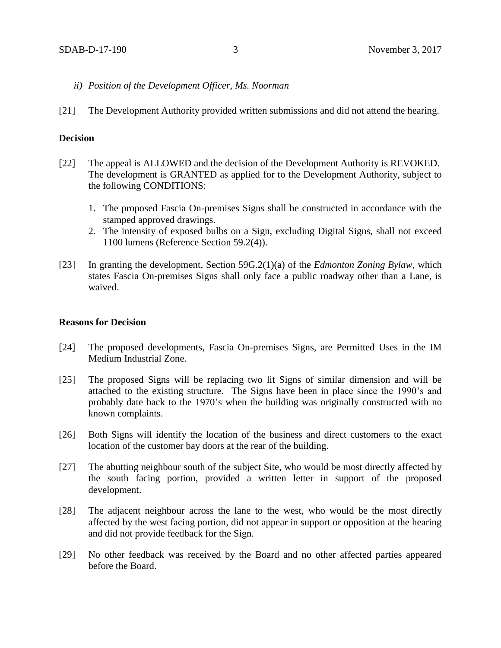- *ii) Position of the Development Officer, Ms. Noorman*
- [21] The Development Authority provided written submissions and did not attend the hearing.

#### **Decision**

- [22] The appeal is ALLOWED and the decision of the Development Authority is REVOKED. The development is GRANTED as applied for to the Development Authority, subject to the following CONDITIONS:
	- 1. The proposed Fascia On-premises Signs shall be constructed in accordance with the stamped approved drawings.
	- 2. The intensity of exposed bulbs on a Sign, excluding Digital Signs, shall not exceed 1100 lumens (Reference Section 59.2(4)).
- [23] In granting the development, Section 59G.2(1)(a) of the *Edmonton Zoning Bylaw*, which states Fascia On-premises Signs shall only face a public roadway other than a Lane, is waived.

#### **Reasons for Decision**

- [24] The proposed developments, Fascia On-premises Signs, are Permitted Uses in the IM Medium Industrial Zone.
- [25] The proposed Signs will be replacing two lit Signs of similar dimension and will be attached to the existing structure. The Signs have been in place since the 1990's and probably date back to the 1970's when the building was originally constructed with no known complaints.
- [26] Both Signs will identify the location of the business and direct customers to the exact location of the customer bay doors at the rear of the building.
- [27] The abutting neighbour south of the subject Site, who would be most directly affected by the south facing portion, provided a written letter in support of the proposed development.
- [28] The adjacent neighbour across the lane to the west, who would be the most directly affected by the west facing portion, did not appear in support or opposition at the hearing and did not provide feedback for the Sign.
- [29] No other feedback was received by the Board and no other affected parties appeared before the Board.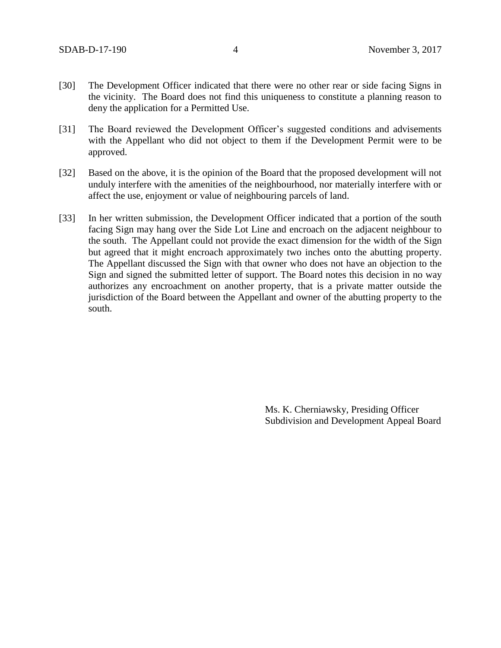- [30] The Development Officer indicated that there were no other rear or side facing Signs in the vicinity. The Board does not find this uniqueness to constitute a planning reason to deny the application for a Permitted Use.
- [31] The Board reviewed the Development Officer's suggested conditions and advisements with the Appellant who did not object to them if the Development Permit were to be approved.
- [32] Based on the above, it is the opinion of the Board that the proposed development will not unduly interfere with the amenities of the neighbourhood, nor materially interfere with or affect the use, enjoyment or value of neighbouring parcels of land.
- [33] In her written submission, the Development Officer indicated that a portion of the south facing Sign may hang over the Side Lot Line and encroach on the adjacent neighbour to the south. The Appellant could not provide the exact dimension for the width of the Sign but agreed that it might encroach approximately two inches onto the abutting property. The Appellant discussed the Sign with that owner who does not have an objection to the Sign and signed the submitted letter of support. The Board notes this decision in no way authorizes any encroachment on another property, that is a private matter outside the jurisdiction of the Board between the Appellant and owner of the abutting property to the south.

Ms. K. Cherniawsky, Presiding Officer Subdivision and Development Appeal Board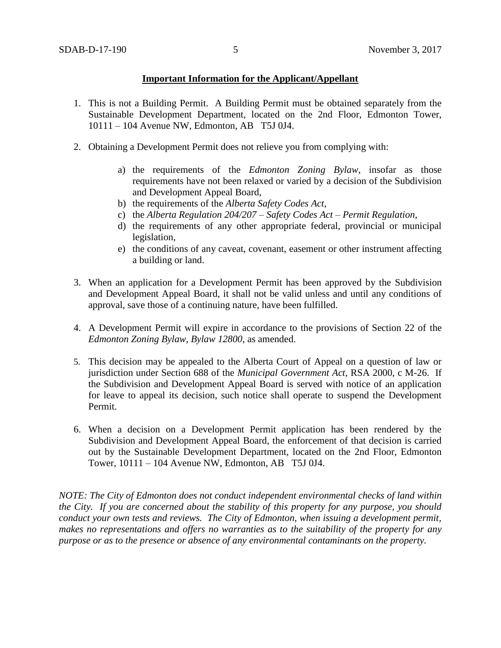## **Important Information for the Applicant/Appellant**

- 1. This is not a Building Permit. A Building Permit must be obtained separately from the Sustainable Development Department, located on the 2nd Floor, Edmonton Tower, 10111 – 104 Avenue NW, Edmonton, AB T5J 0J4.
- 2. Obtaining a Development Permit does not relieve you from complying with:
	- a) the requirements of the *Edmonton Zoning Bylaw*, insofar as those requirements have not been relaxed or varied by a decision of the Subdivision and Development Appeal Board,
	- b) the requirements of the *Alberta Safety Codes Act*,
	- c) the *Alberta Regulation 204/207 – Safety Codes Act – Permit Regulation*,
	- d) the requirements of any other appropriate federal, provincial or municipal legislation,
	- e) the conditions of any caveat, covenant, easement or other instrument affecting a building or land.
- 3. When an application for a Development Permit has been approved by the Subdivision and Development Appeal Board, it shall not be valid unless and until any conditions of approval, save those of a continuing nature, have been fulfilled.
- 4. A Development Permit will expire in accordance to the provisions of Section 22 of the *Edmonton Zoning Bylaw, Bylaw 12800*, as amended.
- 5. This decision may be appealed to the Alberta Court of Appeal on a question of law or jurisdiction under Section 688 of the *Municipal Government Act*, RSA 2000, c M-26. If the Subdivision and Development Appeal Board is served with notice of an application for leave to appeal its decision, such notice shall operate to suspend the Development Permit.
- 6. When a decision on a Development Permit application has been rendered by the Subdivision and Development Appeal Board, the enforcement of that decision is carried out by the Sustainable Development Department, located on the 2nd Floor, Edmonton Tower, 10111 – 104 Avenue NW, Edmonton, AB T5J 0J4.

*NOTE: The City of Edmonton does not conduct independent environmental checks of land within the City. If you are concerned about the stability of this property for any purpose, you should conduct your own tests and reviews. The City of Edmonton, when issuing a development permit, makes no representations and offers no warranties as to the suitability of the property for any purpose or as to the presence or absence of any environmental contaminants on the property.*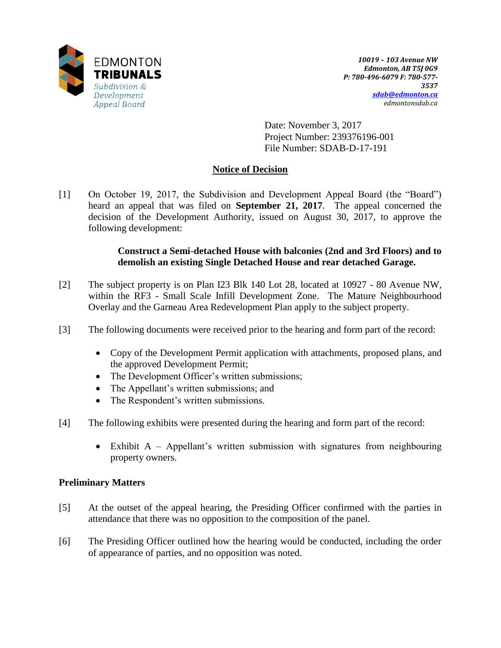

Date: November 3, 2017 Project Number: 239376196-001 File Number: SDAB-D-17-191

# **Notice of Decision**

[1] On October 19, 2017, the Subdivision and Development Appeal Board (the "Board") heard an appeal that was filed on **September 21, 2017**. The appeal concerned the decision of the Development Authority, issued on August 30, 2017, to approve the following development:

# **Construct a Semi-detached House with balconies (2nd and 3rd Floors) and to demolish an existing Single Detached House and rear detached Garage.**

- [2] The subject property is on Plan I23 Blk 140 Lot 28, located at 10927 80 Avenue NW, within the RF3 - Small Scale Infill Development Zone. The Mature Neighbourhood Overlay and the Garneau Area Redevelopment Plan apply to the subject property.
- [3] The following documents were received prior to the hearing and form part of the record:
	- Copy of the Development Permit application with attachments, proposed plans, and the approved Development Permit;
	- The Development Officer's written submissions;
	- The Appellant's written submissions; and
	- The Respondent's written submissions.
- [4] The following exhibits were presented during the hearing and form part of the record:
	- Exhibit A Appellant's written submission with signatures from neighbouring property owners.

## **Preliminary Matters**

- [5] At the outset of the appeal hearing, the Presiding Officer confirmed with the parties in attendance that there was no opposition to the composition of the panel.
- [6] The Presiding Officer outlined how the hearing would be conducted, including the order of appearance of parties, and no opposition was noted.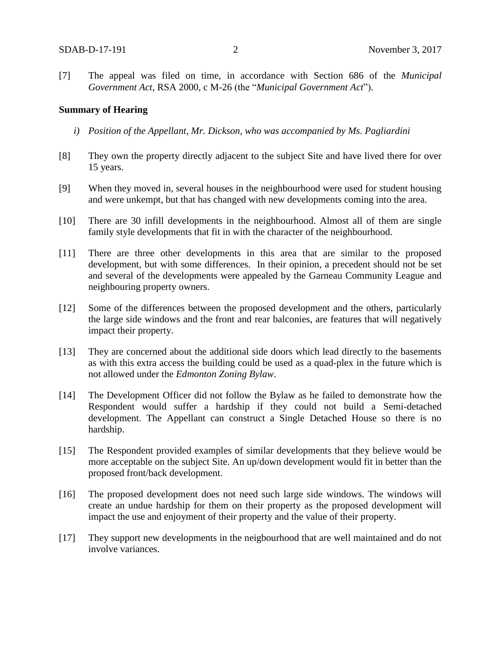[7] The appeal was filed on time, in accordance with Section 686 of the *Municipal Government Act*, RSA 2000, c M-26 (the "*Municipal Government Act*").

#### **Summary of Hearing**

- *i) Position of the Appellant, Mr. Dickson, who was accompanied by Ms. Pagliardini*
- [8] They own the property directly adjacent to the subject Site and have lived there for over 15 years.
- [9] When they moved in, several houses in the neighbourhood were used for student housing and were unkempt, but that has changed with new developments coming into the area.
- [10] There are 30 infill developments in the neighbourhood. Almost all of them are single family style developments that fit in with the character of the neighbourhood.
- [11] There are three other developments in this area that are similar to the proposed development, but with some differences. In their opinion, a precedent should not be set and several of the developments were appealed by the Garneau Community League and neighbouring property owners.
- [12] Some of the differences between the proposed development and the others, particularly the large side windows and the front and rear balconies, are features that will negatively impact their property.
- [13] They are concerned about the additional side doors which lead directly to the basements as with this extra access the building could be used as a quad-plex in the future which is not allowed under the *Edmonton Zoning Bylaw*.
- [14] The Development Officer did not follow the Bylaw as he failed to demonstrate how the Respondent would suffer a hardship if they could not build a Semi-detached development. The Appellant can construct a Single Detached House so there is no hardship.
- [15] The Respondent provided examples of similar developments that they believe would be more acceptable on the subject Site. An up/down development would fit in better than the proposed front/back development.
- [16] The proposed development does not need such large side windows. The windows will create an undue hardship for them on their property as the proposed development will impact the use and enjoyment of their property and the value of their property.
- [17] They support new developments in the neigbourhood that are well maintained and do not involve variances.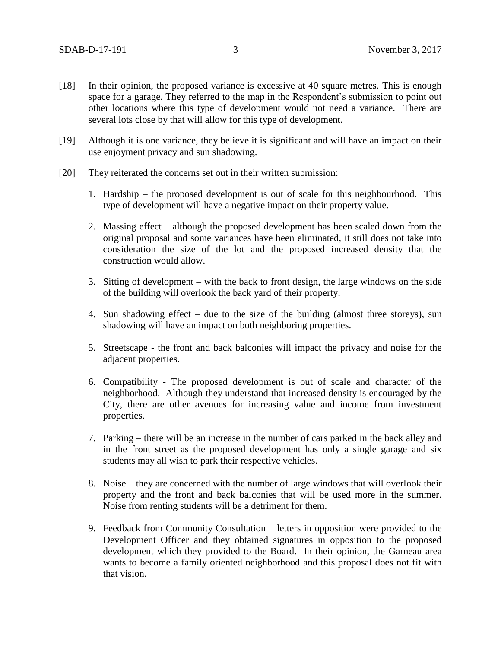- [18] In their opinion, the proposed variance is excessive at 40 square metres. This is enough space for a garage. They referred to the map in the Respondent's submission to point out other locations where this type of development would not need a variance. There are several lots close by that will allow for this type of development.
- [19] Although it is one variance, they believe it is significant and will have an impact on their use enjoyment privacy and sun shadowing.
- [20] They reiterated the concerns set out in their written submission:
	- 1. Hardship the proposed development is out of scale for this neighbourhood. This type of development will have a negative impact on their property value.
	- 2. Massing effect although the proposed development has been scaled down from the original proposal and some variances have been eliminated, it still does not take into consideration the size of the lot and the proposed increased density that the construction would allow.
	- 3. Sitting of development with the back to front design, the large windows on the side of the building will overlook the back yard of their property.
	- 4. Sun shadowing effect due to the size of the building (almost three storeys), sun shadowing will have an impact on both neighboring properties.
	- 5. Streetscape the front and back balconies will impact the privacy and noise for the adjacent properties.
	- 6. Compatibility The proposed development is out of scale and character of the neighborhood. Although they understand that increased density is encouraged by the City, there are other avenues for increasing value and income from investment properties.
	- 7. Parking there will be an increase in the number of cars parked in the back alley and in the front street as the proposed development has only a single garage and six students may all wish to park their respective vehicles.
	- 8. Noise they are concerned with the number of large windows that will overlook their property and the front and back balconies that will be used more in the summer. Noise from renting students will be a detriment for them.
	- 9. Feedback from Community Consultation letters in opposition were provided to the Development Officer and they obtained signatures in opposition to the proposed development which they provided to the Board. In their opinion, the Garneau area wants to become a family oriented neighborhood and this proposal does not fit with that vision.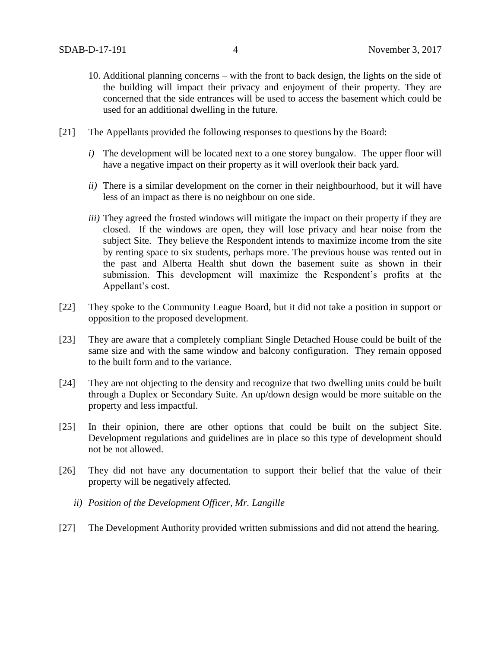- 10. Additional planning concerns with the front to back design, the lights on the side of the building will impact their privacy and enjoyment of their property. They are concerned that the side entrances will be used to access the basement which could be used for an additional dwelling in the future.
- [21] The Appellants provided the following responses to questions by the Board:
	- *i*) The development will be located next to a one storey bungalow. The upper floor will have a negative impact on their property as it will overlook their back yard.
	- *ii)* There is a similar development on the corner in their neighbourhood, but it will have less of an impact as there is no neighbour on one side.
	- *iii)* They agreed the frosted windows will mitigate the impact on their property if they are closed. If the windows are open, they will lose privacy and hear noise from the subject Site. They believe the Respondent intends to maximize income from the site by renting space to six students, perhaps more. The previous house was rented out in the past and Alberta Health shut down the basement suite as shown in their submission. This development will maximize the Respondent's profits at the Appellant's cost.
- [22] They spoke to the Community League Board, but it did not take a position in support or opposition to the proposed development.
- [23] They are aware that a completely compliant Single Detached House could be built of the same size and with the same window and balcony configuration. They remain opposed to the built form and to the variance.
- [24] They are not objecting to the density and recognize that two dwelling units could be built through a Duplex or Secondary Suite. An up/down design would be more suitable on the property and less impactful.
- [25] In their opinion, there are other options that could be built on the subject Site. Development regulations and guidelines are in place so this type of development should not be not allowed.
- [26] They did not have any documentation to support their belief that the value of their property will be negatively affected.
	- *ii) Position of the Development Officer, Mr. Langille*
- [27] The Development Authority provided written submissions and did not attend the hearing.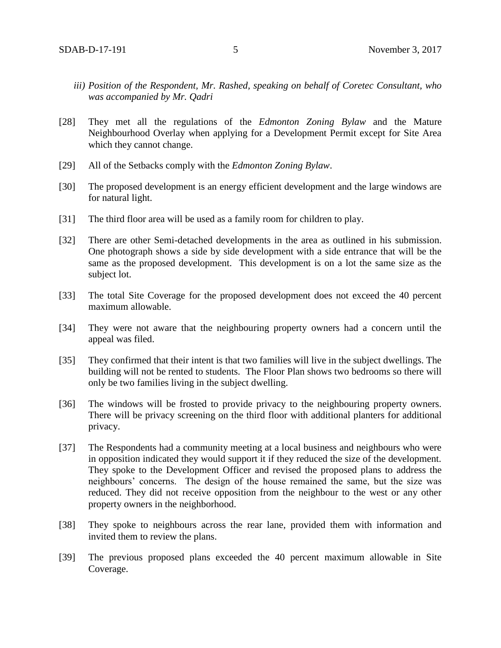- *iii) Position of the Respondent, Mr. Rashed, speaking on behalf of Coretec Consultant, who was accompanied by Mr. Qadri*
- [28] They met all the regulations of the *Edmonton Zoning Bylaw* and the Mature Neighbourhood Overlay when applying for a Development Permit except for Site Area which they cannot change.
- [29] All of the Setbacks comply with the *Edmonton Zoning Bylaw*.
- [30] The proposed development is an energy efficient development and the large windows are for natural light.
- [31] The third floor area will be used as a family room for children to play.
- [32] There are other Semi-detached developments in the area as outlined in his submission. One photograph shows a side by side development with a side entrance that will be the same as the proposed development. This development is on a lot the same size as the subject lot.
- [33] The total Site Coverage for the proposed development does not exceed the 40 percent maximum allowable.
- [34] They were not aware that the neighbouring property owners had a concern until the appeal was filed.
- [35] They confirmed that their intent is that two families will live in the subject dwellings. The building will not be rented to students. The Floor Plan shows two bedrooms so there will only be two families living in the subject dwelling.
- [36] The windows will be frosted to provide privacy to the neighbouring property owners. There will be privacy screening on the third floor with additional planters for additional privacy.
- [37] The Respondents had a community meeting at a local business and neighbours who were in opposition indicated they would support it if they reduced the size of the development. They spoke to the Development Officer and revised the proposed plans to address the neighbours' concerns. The design of the house remained the same, but the size was reduced. They did not receive opposition from the neighbour to the west or any other property owners in the neighborhood.
- [38] They spoke to neighbours across the rear lane, provided them with information and invited them to review the plans.
- [39] The previous proposed plans exceeded the 40 percent maximum allowable in Site Coverage.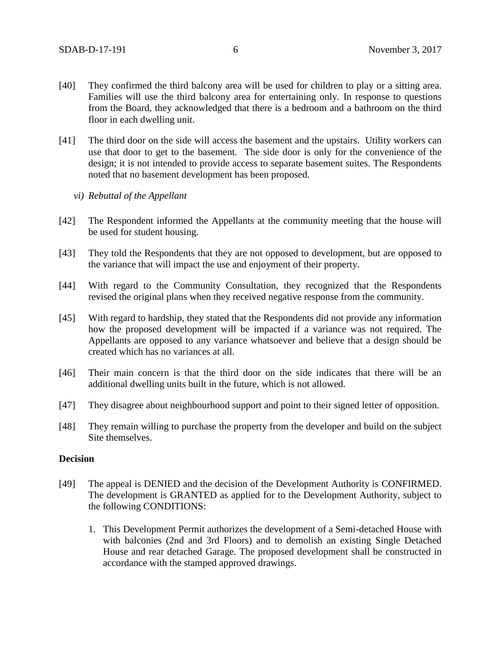- [40] They confirmed the third balcony area will be used for children to play or a sitting area. Families will use the third balcony area for entertaining only. In response to questions from the Board, they acknowledged that there is a bedroom and a bathroom on the third floor in each dwelling unit.
- [41] The third door on the side will access the basement and the upstairs. Utility workers can use that door to get to the basement. The side door is only for the convenience of the design; it is not intended to provide access to separate basement suites. The Respondents noted that no basement development has been proposed.
	- *vi) Rebuttal of the Appellant*
- [42] The Respondent informed the Appellants at the community meeting that the house will be used for student housing.
- [43] They told the Respondents that they are not opposed to development, but are opposed to the variance that will impact the use and enjoyment of their property.
- [44] With regard to the Community Consultation, they recognized that the Respondents revised the original plans when they received negative response from the community.
- [45] With regard to hardship, they stated that the Respondents did not provide any information how the proposed development will be impacted if a variance was not required. The Appellants are opposed to any variance whatsoever and believe that a design should be created which has no variances at all.
- [46] Their main concern is that the third door on the side indicates that there will be an additional dwelling units built in the future, which is not allowed.
- [47] They disagree about neighbourhood support and point to their signed letter of opposition.
- [48] They remain willing to purchase the property from the developer and build on the subject Site themselves.

### **Decision**

- [49] The appeal is DENIED and the decision of the Development Authority is CONFIRMED. The development is GRANTED as applied for to the Development Authority, subject to the following CONDITIONS:
	- 1. This Development Permit authorizes the development of a Semi-detached House with with balconies (2nd and 3rd Floors) and to demolish an existing Single Detached House and rear detached Garage. The proposed development shall be constructed in accordance with the stamped approved drawings.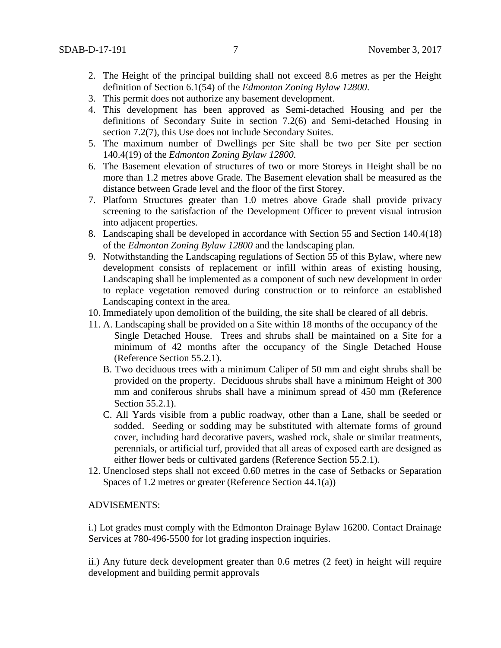- 2. The Height of the principal building shall not exceed 8.6 metres as per the Height definition of Section 6.1(54) of the *Edmonton Zoning Bylaw 12800*.
- 3. This permit does not authorize any basement development.
- 4. This development has been approved as Semi-detached Housing and per the definitions of Secondary Suite in section 7.2(6) and Semi-detached Housing in section 7.2(7), this Use does not include Secondary Suites.
- 5. The maximum number of Dwellings per Site shall be two per Site per section 140.4(19) of the *Edmonton Zoning Bylaw 12800.*
- 6. The Basement elevation of structures of two or more Storeys in Height shall be no more than 1.2 metres above Grade. The Basement elevation shall be measured as the distance between Grade level and the floor of the first Storey.
- 7. Platform Structures greater than 1.0 metres above Grade shall provide privacy screening to the satisfaction of the Development Officer to prevent visual intrusion into adjacent properties.
- 8. Landscaping shall be developed in accordance with Section 55 and Section 140.4(18) of the *Edmonton Zoning Bylaw 12800* and the landscaping plan.
- 9. Notwithstanding the Landscaping regulations of Section 55 of this Bylaw, where new development consists of replacement or infill within areas of existing housing, Landscaping shall be implemented as a component of such new development in order to replace vegetation removed during construction or to reinforce an established Landscaping context in the area.
- 10. Immediately upon demolition of the building, the site shall be cleared of all debris.
- 11. A. Landscaping shall be provided on a Site within 18 months of the occupancy of the Single Detached House. Trees and shrubs shall be maintained on a Site for a minimum of 42 months after the occupancy of the Single Detached House (Reference Section 55.2.1).
	- B. Two deciduous trees with a minimum Caliper of 50 mm and eight shrubs shall be provided on the property. Deciduous shrubs shall have a minimum Height of 300 mm and coniferous shrubs shall have a minimum spread of 450 mm (Reference Section 55.2.1).
	- C. All Yards visible from a public roadway, other than a Lane, shall be seeded or sodded. Seeding or sodding may be substituted with alternate forms of ground cover, including hard decorative pavers, washed rock, shale or similar treatments, perennials, or artificial turf, provided that all areas of exposed earth are designed as either flower beds or cultivated gardens (Reference Section 55.2.1).
- 12. Unenclosed steps shall not exceed 0.60 metres in the case of Setbacks or Separation Spaces of 1.2 metres or greater (Reference Section 44.1(a))

## ADVISEMENTS:

i.) Lot grades must comply with the Edmonton Drainage Bylaw 16200. Contact Drainage Services at 780-496-5500 for lot grading inspection inquiries.

ii.) Any future deck development greater than 0.6 metres (2 feet) in height will require development and building permit approvals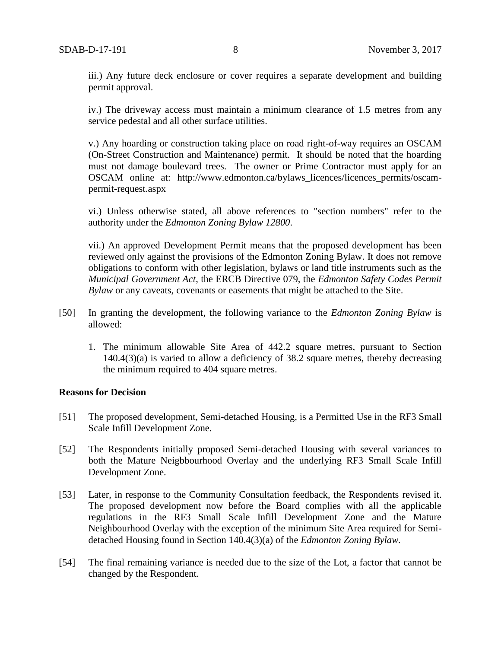iii.) Any future deck enclosure or cover requires a separate development and building permit approval.

iv.) The driveway access must maintain a minimum clearance of 1.5 metres from any service pedestal and all other surface utilities.

v.) Any hoarding or construction taking place on road right-of-way requires an OSCAM (On-Street Construction and Maintenance) permit. It should be noted that the hoarding must not damage boulevard trees. The owner or Prime Contractor must apply for an OSCAM online at: http://www.edmonton.ca/bylaws\_licences/licences\_permits/oscampermit-request.aspx

vi.) Unless otherwise stated, all above references to "section numbers" refer to the authority under the *Edmonton Zoning Bylaw 12800*.

vii.) An approved Development Permit means that the proposed development has been reviewed only against the provisions of the Edmonton Zoning Bylaw. It does not remove obligations to conform with other legislation, bylaws or land title instruments such as the *Municipal Government Act*, the ERCB Directive 079, the *Edmonton Safety Codes Permit Bylaw* or any caveats, covenants or easements that might be attached to the Site.

- [50] In granting the development, the following variance to the *Edmonton Zoning Bylaw* is allowed:
	- 1. The minimum allowable Site Area of 442.2 square metres, pursuant to Section 140.4(3)(a) is varied to allow a deficiency of 38.2 square metres, thereby decreasing the minimum required to 404 square metres.

#### **Reasons for Decision**

- [51] The proposed development, Semi-detached Housing, is a Permitted Use in the RF3 Small Scale Infill Development Zone.
- [52] The Respondents initially proposed Semi-detached Housing with several variances to both the Mature Neigbbourhood Overlay and the underlying RF3 Small Scale Infill Development Zone.
- [53] Later, in response to the Community Consultation feedback, the Respondents revised it. The proposed development now before the Board complies with all the applicable regulations in the RF3 Small Scale Infill Development Zone and the Mature Neighbourhood Overlay with the exception of the minimum Site Area required for Semidetached Housing found in Section 140.4(3)(a) of the *Edmonton Zoning Bylaw.*
- [54] The final remaining variance is needed due to the size of the Lot, a factor that cannot be changed by the Respondent.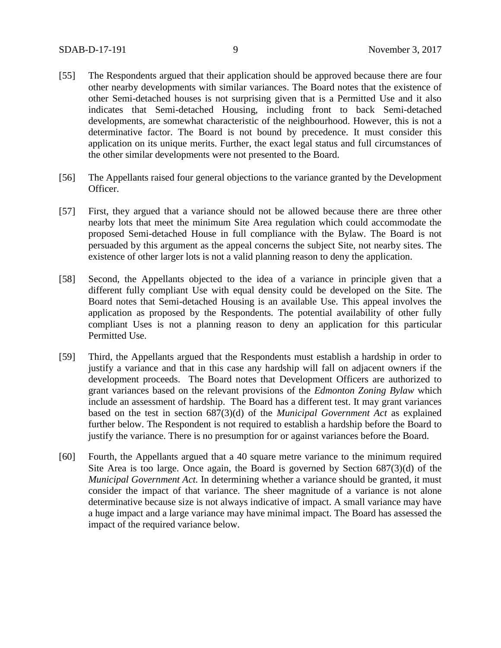- [55] The Respondents argued that their application should be approved because there are four other nearby developments with similar variances. The Board notes that the existence of other Semi-detached houses is not surprising given that is a Permitted Use and it also indicates that Semi-detached Housing, including front to back Semi-detached developments, are somewhat characteristic of the neighbourhood. However, this is not a determinative factor. The Board is not bound by precedence. It must consider this application on its unique merits. Further, the exact legal status and full circumstances of the other similar developments were not presented to the Board.
- [56] The Appellants raised four general objections to the variance granted by the Development Officer.
- [57] First, they argued that a variance should not be allowed because there are three other nearby lots that meet the minimum Site Area regulation which could accommodate the proposed Semi-detached House in full compliance with the Bylaw. The Board is not persuaded by this argument as the appeal concerns the subject Site, not nearby sites. The existence of other larger lots is not a valid planning reason to deny the application.
- [58] Second, the Appellants objected to the idea of a variance in principle given that a different fully compliant Use with equal density could be developed on the Site. The Board notes that Semi-detached Housing is an available Use. This appeal involves the application as proposed by the Respondents. The potential availability of other fully compliant Uses is not a planning reason to deny an application for this particular Permitted Use.
- [59] Third, the Appellants argued that the Respondents must establish a hardship in order to justify a variance and that in this case any hardship will fall on adjacent owners if the development proceeds. The Board notes that Development Officers are authorized to grant variances based on the relevant provisions of the *Edmonton Zoning Bylaw* which include an assessment of hardship. The Board has a different test. It may grant variances based on the test in section 687(3)(d) of the *Municipal Government Act* as explained further below. The Respondent is not required to establish a hardship before the Board to justify the variance. There is no presumption for or against variances before the Board.
- [60] Fourth, the Appellants argued that a 40 square metre variance to the minimum required Site Area is too large. Once again, the Board is governed by Section 687(3)(d) of the *Municipal Government Act.* In determining whether a variance should be granted, it must consider the impact of that variance. The sheer magnitude of a variance is not alone determinative because size is not always indicative of impact. A small variance may have a huge impact and a large variance may have minimal impact. The Board has assessed the impact of the required variance below.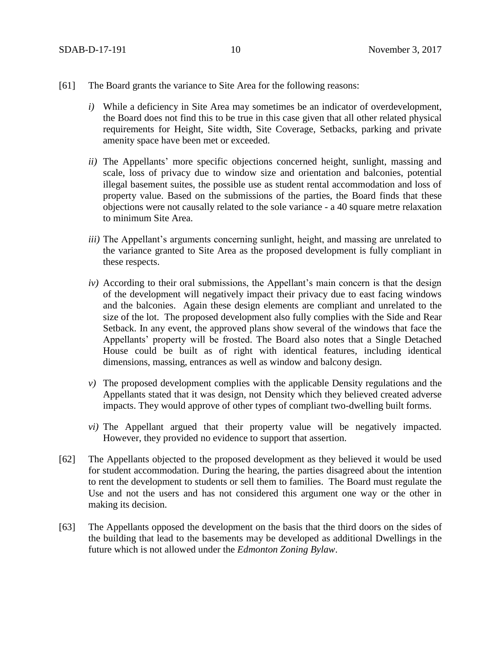- [61] The Board grants the variance to Site Area for the following reasons:
	- *i*) While a deficiency in Site Area may sometimes be an indicator of overdevelopment, the Board does not find this to be true in this case given that all other related physical requirements for Height, Site width, Site Coverage, Setbacks, parking and private amenity space have been met or exceeded.
	- *ii*) The Appellants' more specific objections concerned height, sunlight, massing and scale, loss of privacy due to window size and orientation and balconies, potential illegal basement suites, the possible use as student rental accommodation and loss of property value. Based on the submissions of the parties, the Board finds that these objections were not causally related to the sole variance - a 40 square metre relaxation to minimum Site Area.
	- *iii)* The Appellant's arguments concerning sunlight, height, and massing are unrelated to the variance granted to Site Area as the proposed development is fully compliant in these respects.
	- *iv)* According to their oral submissions, the Appellant's main concern is that the design of the development will negatively impact their privacy due to east facing windows and the balconies. Again these design elements are compliant and unrelated to the size of the lot. The proposed development also fully complies with the Side and Rear Setback. In any event, the approved plans show several of the windows that face the Appellants' property will be frosted. The Board also notes that a Single Detached House could be built as of right with identical features, including identical dimensions, massing, entrances as well as window and balcony design.
	- *v*) The proposed development complies with the applicable Density regulations and the Appellants stated that it was design, not Density which they believed created adverse impacts. They would approve of other types of compliant two-dwelling built forms.
	- *vi)* The Appellant argued that their property value will be negatively impacted. However, they provided no evidence to support that assertion.
- [62] The Appellants objected to the proposed development as they believed it would be used for student accommodation. During the hearing, the parties disagreed about the intention to rent the development to students or sell them to families. The Board must regulate the Use and not the users and has not considered this argument one way or the other in making its decision.
- [63] The Appellants opposed the development on the basis that the third doors on the sides of the building that lead to the basements may be developed as additional Dwellings in the future which is not allowed under the *Edmonton Zoning Bylaw*.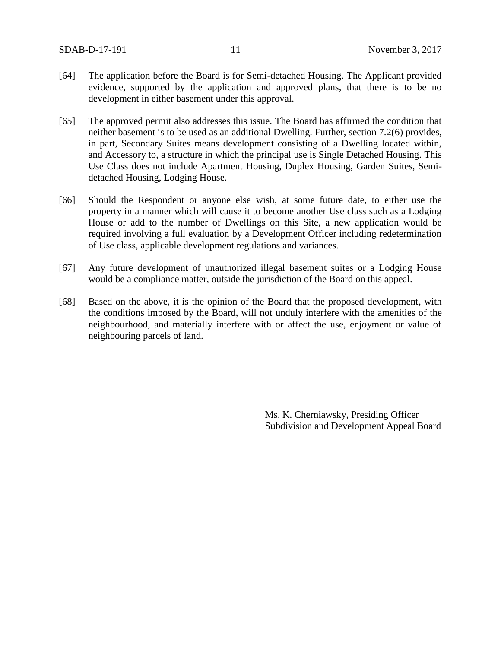- [64] The application before the Board is for Semi-detached Housing. The Applicant provided evidence, supported by the application and approved plans, that there is to be no development in either basement under this approval.
- [65] The approved permit also addresses this issue. The Board has affirmed the condition that neither basement is to be used as an additional Dwelling. Further, section 7.2(6) provides, in part, Secondary Suites means development consisting of a Dwelling located within, and Accessory to, a structure in which the principal use is Single Detached Housing. This Use Class does not include Apartment Housing, Duplex Housing, Garden Suites, Semidetached Housing, Lodging House.
- [66] Should the Respondent or anyone else wish, at some future date, to either use the property in a manner which will cause it to become another Use class such as a Lodging House or add to the number of Dwellings on this Site, a new application would be required involving a full evaluation by a Development Officer including redetermination of Use class, applicable development regulations and variances.
- [67] Any future development of unauthorized illegal basement suites or a Lodging House would be a compliance matter, outside the jurisdiction of the Board on this appeal.
- [68] Based on the above, it is the opinion of the Board that the proposed development, with the conditions imposed by the Board, will not unduly interfere with the amenities of the neighbourhood, and materially interfere with or affect the use, enjoyment or value of neighbouring parcels of land.

Ms. K. Cherniawsky, Presiding Officer Subdivision and Development Appeal Board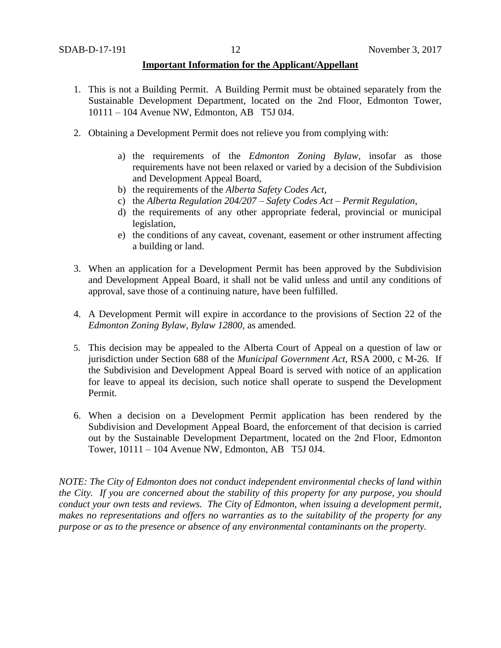### **Important Information for the Applicant/Appellant**

- 1. This is not a Building Permit. A Building Permit must be obtained separately from the Sustainable Development Department, located on the 2nd Floor, Edmonton Tower, 10111 – 104 Avenue NW, Edmonton, AB T5J 0J4.
- 2. Obtaining a Development Permit does not relieve you from complying with:
	- a) the requirements of the *Edmonton Zoning Bylaw*, insofar as those requirements have not been relaxed or varied by a decision of the Subdivision and Development Appeal Board,
	- b) the requirements of the *Alberta Safety Codes Act*,
	- c) the *Alberta Regulation 204/207 – Safety Codes Act – Permit Regulation*,
	- d) the requirements of any other appropriate federal, provincial or municipal legislation,
	- e) the conditions of any caveat, covenant, easement or other instrument affecting a building or land.
- 3. When an application for a Development Permit has been approved by the Subdivision and Development Appeal Board, it shall not be valid unless and until any conditions of approval, save those of a continuing nature, have been fulfilled.
- 4. A Development Permit will expire in accordance to the provisions of Section 22 of the *Edmonton Zoning Bylaw, Bylaw 12800*, as amended.
- 5. This decision may be appealed to the Alberta Court of Appeal on a question of law or jurisdiction under Section 688 of the *Municipal Government Act*, RSA 2000, c M-26. If the Subdivision and Development Appeal Board is served with notice of an application for leave to appeal its decision, such notice shall operate to suspend the Development Permit.
- 6. When a decision on a Development Permit application has been rendered by the Subdivision and Development Appeal Board, the enforcement of that decision is carried out by the Sustainable Development Department, located on the 2nd Floor, Edmonton Tower, 10111 – 104 Avenue NW, Edmonton, AB T5J 0J4.

*NOTE: The City of Edmonton does not conduct independent environmental checks of land within the City. If you are concerned about the stability of this property for any purpose, you should conduct your own tests and reviews. The City of Edmonton, when issuing a development permit, makes no representations and offers no warranties as to the suitability of the property for any purpose or as to the presence or absence of any environmental contaminants on the property.*